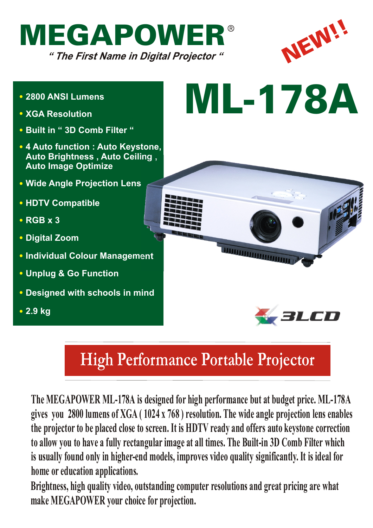



*BLCD* 

- **2800 ANSI Lumens**
- **XGA Resolution**
- **Built in " 3D Comb Filter "**
- **4 Auto function : Auto Keystone, Auto Brightness , Auto Ceiling , Auto Image Optimize**
- **Wide Angle Projection Lens**
- **HDTV Compatible**
- **RGB x 3**
- **Digital Zoom**
- **Individual Colour Management**
- **Unplug & Go Function**
- **Designed with schools in mind**
- **2.9 kg**



*<u>UNITED MANIFESTS</u>* 

## **High Performance Portable Projector**

**The MEGAPOWER ML-178A is designed for high performance but at budget price. ML-178A gives you 2800 lumens of XGA ( 1024 x 768 ) resolution. The wide angle projection lens enables the projector to be placed close to screen. It is HDTV ready and offers auto keystone correction to allow you to have a fully rectangular image at all times. The Built-in 3D Comb Filter which is usually found only in higher-end models, improves video quality significantly. It is ideal for home or education applications.**

**Brightness, high quality video, outstanding computer resolutions and great pricing are what make MEGAPOWER your choice for projection.**